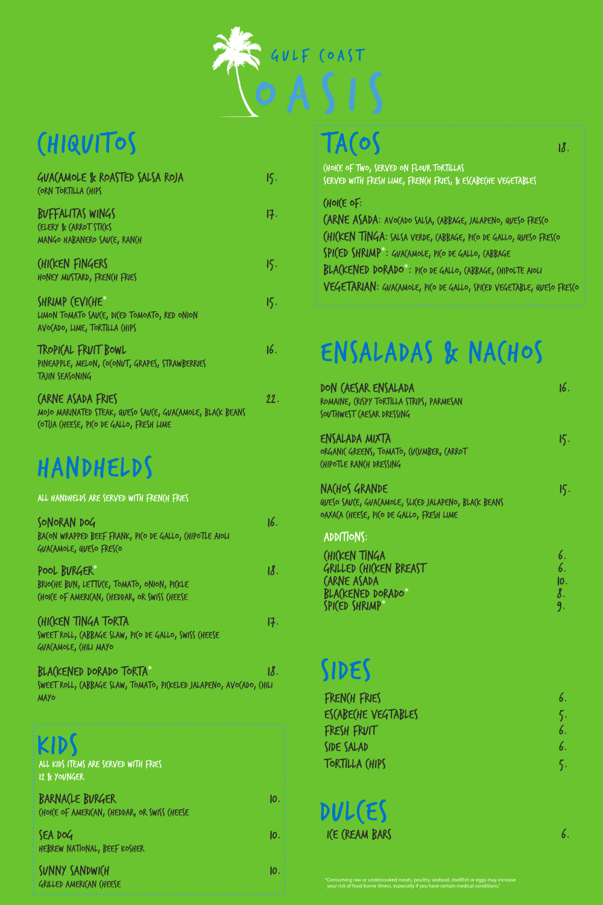\*Consuming raw or undercooked meats, poultry, seafood, shellfish or eggs may increase your risk of food borne illness, especially if you have certain medical conditions."

SONORAN DOG 16. BACON WRAPPED BEEF FRANK, PICO DE GALLO, CHIPOTLE AIOLI GUACAMOLE, QUESO FRESCO

BRIO(HE BUN, LETTU(E, TOMATO, ONION, PI(KLE CHOICE OF AMERICAN, CHEDDAR, OR SWISS CHEESE

ALL HANDHELDS ARE SERVED WITH FRENCH FRIES

BLACKENED DORADO TORTA\* 18. SWEET ROLL, CABBAGE SLAW, TOMATO, PICKELED JALAPENO, AVOCADO, CHILI MAYO french fries 6.

POOL BURGER\* 18.

ESCABECHE VEGTABLES 5. fresh fruit 6. side salad 6. tortilla chips 5.

DON CAESAR ENSALADA 16. ROMAINE, CRISPY TORTILLA STRIPS, PARMESAN SOUTHWEST (AESAR DRESSING

CHICKEN TINGA TORTA 17.

ENSALADAS & NACHOS

SWEET ROLL, CABBAGE SLAW, PICO DE GALLO, SWISS CHEESE GUACAMOLE, CHILI MAYO

BUFFALITAS WINGS 17. CELERY & CARROT STICKS MANGO HABANERO SAU(E, RAN(H

LIMON TOMATO SAV(E, DI(ED TOMOATO, RED ONION AVOCADO, LIME, TORTILLA CHIPS

# $TAOS$



TROPICAL FRUIT BOWL 16. PINEAPPLE, MELON, (O(ONUT, GRAPES, STRAWBERRIES TAJIN SEASONING

CHOICE OF TWO, SERVED ON FLOUR TORTILLAS SERVED WITH FRESH LIME, FRENCH FRIES, & ESCABECHE VEGETABLES

### $(Hol(E of:$

ENSALADA MIXTA 15. ORGANIC GREENS, TOMATO, CUCUMBER, CARROT CHIPOTLE RANCH DRESSING

NACHOS GRANDE 15.



QUESO SAUCE, GUACAMOLE, SLICED JALAPENO, BLACK BEANS OAXACA CHEESE, PICO DE GALLO, FRESH LIME

ADDITIONS:

CHICKEN TINGA 6.<br>GRILLED CHICKEN BREAST GRILLED (HICKEN BREAST CARNE ASADA 10.<br>BLACKENED DORADO\* 8. BLA(KENED DORADO\* 8.<br>SPICED SHRIMP\* 9. SPICED SHRIMP\*

KIDS all kids items are served with fries 12 & younger

sunny sandwich 10. GRILLED AMERICAN CHEESE



## Chiquitos

GUACAMOLE & ROASTED SALSA ROJA 15. CORN TORTILLA CHIPS

CHICKEN FINGERS 15. HONEY MUSTARD, FRENCH FRIES

SHRIMP (EVICHE\* 15.

CARNE ASADA FRIES 22. MOJO MARINATED STEAK, QUESO SAUCE, GUACAMOLE, BLACK BEANS COTIJA CHEESE, PICO DE GALLO, FRESH LIME

## HANDHELDS

carne asada: Avocado Salsa, cabbage, jalapeno, queso fresco chicken tinga: salsa Verde, cabbage, pico de gallo, queso fresco spiced shrimp\* : guacamole, pico de gallo, cabbage blackened dorado\* : pico de gallo, cabbage, chipolte aioli vegetarian: guacamole, pico de gallo, spiced vegetable, queso fresco

barnacle burger 10. choice of american, cheddar, or swiss cheese g

sea dog 10. hebrew national, beef kosher